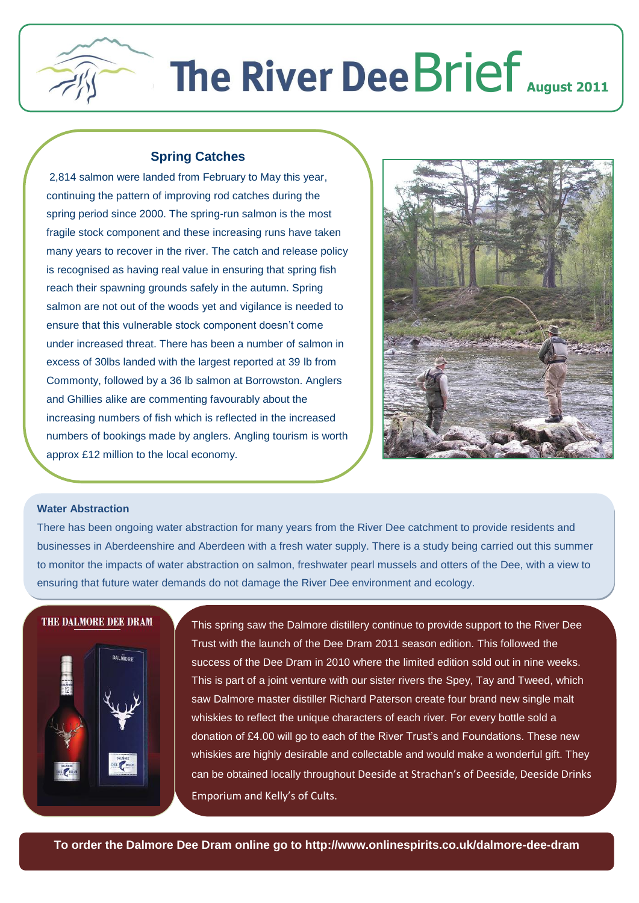

## **The River Dee Brief** August 2011

## **Spring Catches**

2,814 salmon were landed from February to May this year, continuing the pattern of improving rod catches during the spring period since 2000. The spring-run salmon is the most fragile stock component and these increasing runs have taken many years to recover in the river. The catch and release policy is recognised as having real value in ensuring that spring fish reach their spawning grounds safely in the autumn. Spring salmon are not out of the woods yet and vigilance is needed to ensure that this vulnerable stock component doesn't come under increased threat. There has been a number of salmon in excess of 30lbs landed with the largest reported at 39 lb from Commonty, followed by a 36 lb salmon at Borrowston. Anglers and Ghillies alike are commenting favourably about the increasing numbers of fish which is reflected in the increased numbers of bookings made by anglers. Angling tourism is worth approx £12 million to the local economy.



## **Water Abstraction**

There has been ongoing water abstraction for many years from the River Dee catchment to provide residents and businesses in Aberdeenshire and Aberdeen with a fresh water supply. There is a study being carried out this summer to monitor the impacts of water abstraction on salmon, freshwater pearl mussels and otters of the Dee, with a view to ensuring that future water demands do not damage the River Dee environment and ecology.

## **THE DALMORE DEE DRAM**



This spring saw the Dalmore distillery continue to provide support to the River Dee Trust with the launch of the Dee Dram 2011 season edition. This followed the success of the Dee Dram in 2010 where the limited edition sold out in nine weeks. This is part of a joint venture with our sister rivers the Spey, Tay and Tweed, which saw Dalmore master distiller Richard Paterson create four brand new single malt whiskies to reflect the unique characters of each river. For every bottle sold a donation of £4.00 will go to each of the River Trust's and Foundations. These new whiskies are highly desirable and collectable and would make a wonderful gift. They can be obtained locally throughout Deeside at Strachan's of Deeside, Deeside Drinks Emporium and Kelly's of Cults.

**To order the Dalmore Dee Dram online go to http://www.onlinespirits.co.uk/dalmore-dee-dram**